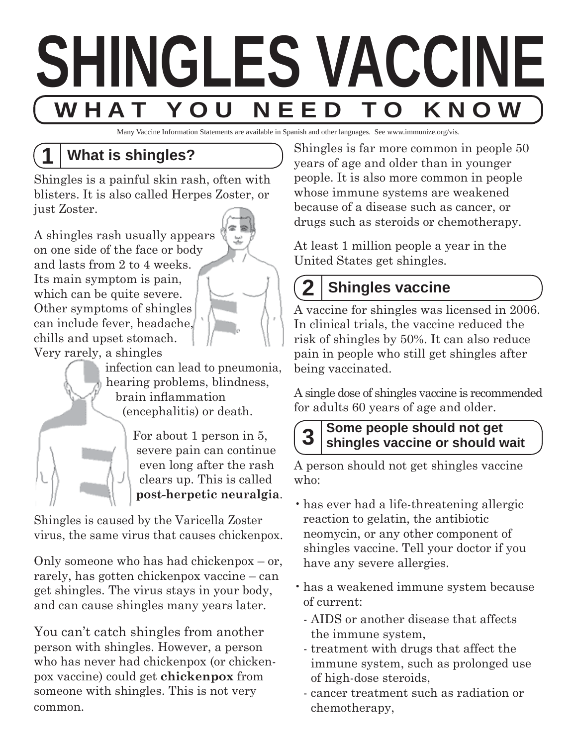

Many Vaccine Information Statements are available in Spanish and other languages. See www.immunize.org/vis.

# **1 What is shingles?**

Shingles is a painful skin rash, often with blisters. It is also called Herpes Zoster, or just Zoster.

A shingles rash usually appears on one side of the face or body and lasts from 2 to 4 weeks. Its main symptom is pain, which can be quite severe. Other symptoms of shingles can include fever, headache, chills and upset stomach. Very rarely, a shingles



 infection can lead to pneumonia, hearing problems, blindness, brain inflammation (encephalitis) or death.

> For about 1 person in 5, severe pain can continue even long after the rash clears up. This is called **post-herpetic neuralgia**.

Shingles is caused by the Varicella Zoster virus, the same virus that causes chickenpox.

Only someone who has had chickenpox – or, rarely, has gotten chickenpox vaccine – can get shingles. The virus stays in your body, and can cause shingles many years later.

You can't catch shingles from another person with shingles. However, a person who has never had chickenpox (or chickenpox vaccine) could get **chickenpox** from someone with shingles. This is not very common.

Shingles is far more common in people 50 years of age and older than in younger people. It is also more common in people whose immune systems are weakened because of a disease such as cancer, or drugs such as steroids or chemotherapy.

At least 1 million people a year in the United States get shingles.

# **2 Shingles vaccine**

A vaccine for shingles was licensed in 2006. In clinical trials, the vaccine reduced the risk of shingles by 50%. It can also reduce pain in people who still get shingles after being vaccinated.

A single dose of shingles vaccine is recommended for adults 60 years of age and older.

# **3 Some people should not get shingles vaccine or should wait**

A person should not get shingles vaccine who:

- has ever had a life-threatening allergic reaction to gelatin, the antibiotic neomycin, or any other component of shingles vaccine. Tell your doctor if you have any severe allergies.
- has a weakened immune system because of current:
	- AIDS or another disease that affects the immune system,
	- treatment with drugs that affect the immune system, such as prolonged use of high-dose steroids,
	- cancer treatment such as radiation or chemotherapy,